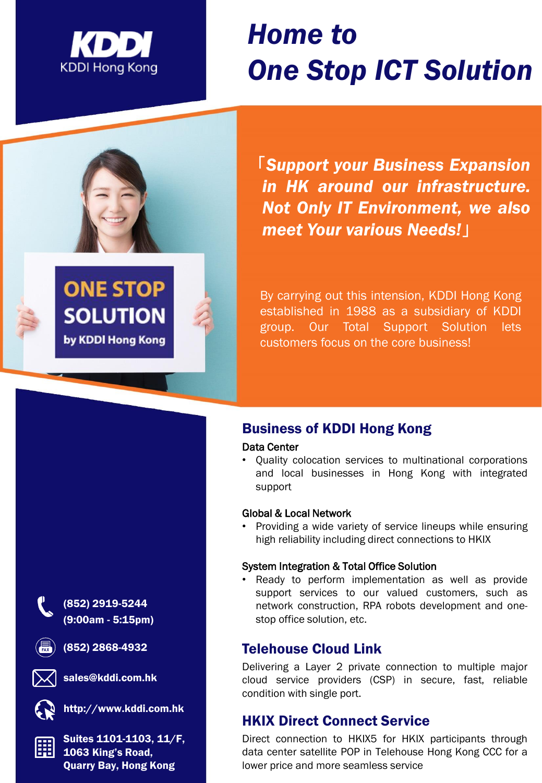

**ONE STOP** 

**SOLUTION** 

by KDDI Hong Kong

# *Home to One Stop ICT Solution*

「*Support your Business Expansion in HK around our infrastructure. Not Only IT Environment, we also meet Your various Needs!*」

By carrying out this intension, KDDI Hong Kong established in 1988 as a subsidiary of KDDI group. Our Total Support Solution lets customers focus on the core business!

# Business of KDDI Hong Kong

#### Data Center

• Quality colocation services to multinational corporations and local businesses in Hong Kong with integrated support

#### Global & Local Network

• Providing a wide variety of service lineups while ensuring high reliability including direct connections to HKIX

#### System Integration & Total Office Solution

• Ready to perform implementation as well as provide support services to our valued customers, such as network construction, RPA robots development and onestop office solution, etc.

# Telehouse Cloud Link

Delivering a Layer 2 private connection to multiple major cloud service providers (CSP) in secure, fast, reliable condition with single port.

# HKIX Direct Connect Service

Direct connection to HKIX5 for HKIX participants through data center satellite POP in Telehouse Hong Kong CCC for a lower price and more seamless service



(852) 2919-5244 (9:00am - 5:15pm)

(852) 2868-4932





http://www.kddi.com.hk

Suites 1101-1103, 11/F, 1063 King's Road, Quarry Bay, Hong Kong